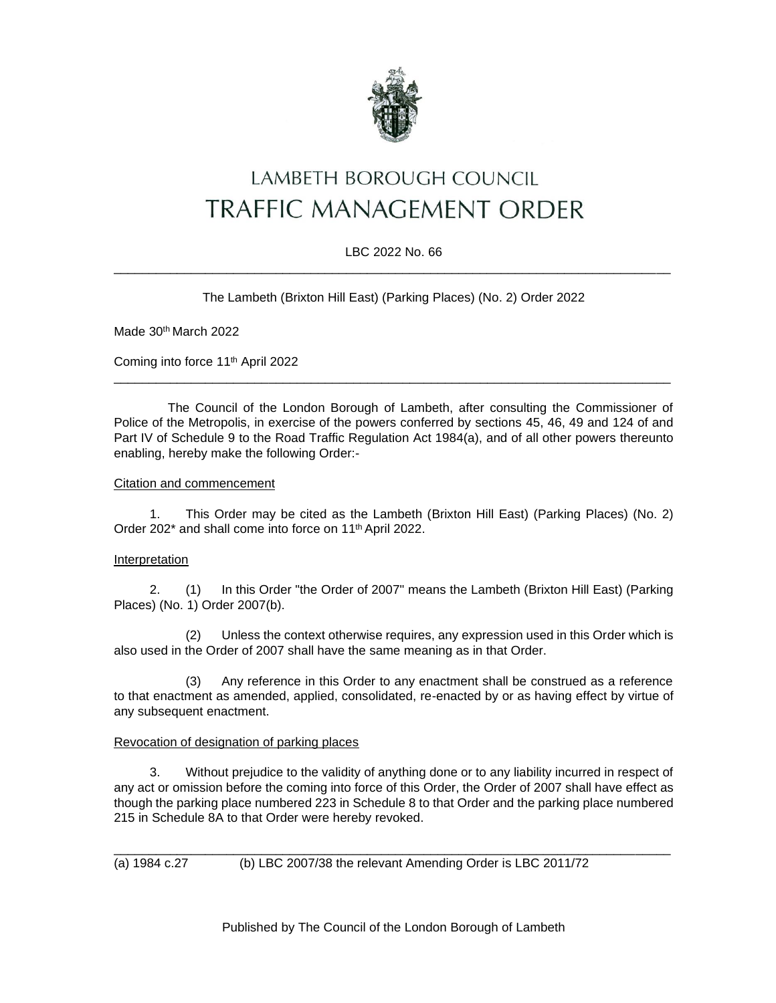

# LAMBETH BOROUGH COUNCIL **TRAFFIC MANAGEMENT ORDER**

## LBC 2022 No. 66 \_\_\_\_\_\_\_\_\_\_\_\_\_\_\_\_\_\_\_\_\_\_\_\_\_\_\_\_\_\_\_\_\_\_\_\_\_\_\_\_\_\_\_\_\_\_\_\_\_\_\_\_\_\_\_\_\_\_\_\_\_\_\_\_\_\_\_\_\_\_\_\_\_\_\_\_\_\_\_

The Lambeth (Brixton Hill East) (Parking Places) (No. 2) Order 2022

Made 30<sup>th</sup> March 2022

Coming into force 11th April 2022

The Council of the London Borough of Lambeth, after consulting the Commissioner of Police of the Metropolis, in exercise of the powers conferred by sections 45, 46, 49 and 124 of and Part IV of Schedule 9 to the Road Traffic Regulation Act 1984(a), and of all other powers thereunto enabling, hereby make the following Order:-

\_\_\_\_\_\_\_\_\_\_\_\_\_\_\_\_\_\_\_\_\_\_\_\_\_\_\_\_\_\_\_\_\_\_\_\_\_\_\_\_\_\_\_\_\_\_\_\_\_\_\_\_\_\_\_\_\_\_\_\_\_\_\_\_\_\_\_\_\_\_\_\_\_\_\_\_\_\_\_

## Citation and commencement

1. This Order may be cited as the Lambeth (Brixton Hill East) (Parking Places) (No. 2) Order 202<sup>\*</sup> and shall come into force on 11<sup>th</sup> April 2022.

### Interpretation

2. (1) In this Order "the Order of 2007" means the Lambeth (Brixton Hill East) (Parking Places) (No. 1) Order 2007(b).

(2) Unless the context otherwise requires, any expression used in this Order which is also used in the Order of 2007 shall have the same meaning as in that Order.

(3) Any reference in this Order to any enactment shall be construed as a reference to that enactment as amended, applied, consolidated, re-enacted by or as having effect by virtue of any subsequent enactment.

### Revocation of designation of parking places

3. Without prejudice to the validity of anything done or to any liability incurred in respect of any act or omission before the coming into force of this Order, the Order of 2007 shall have effect as though the parking place numbered 223 in Schedule 8 to that Order and the parking place numbered 215 in Schedule 8A to that Order were hereby revoked.

\_\_\_\_\_\_\_\_\_\_\_\_\_\_\_\_\_\_\_\_\_\_\_\_\_\_\_\_\_\_\_\_\_\_\_\_\_\_\_\_\_\_\_\_\_\_\_\_\_\_\_\_\_\_\_\_\_\_\_\_\_\_\_\_\_\_\_\_\_\_\_\_\_\_\_\_\_\_\_

(a) 1984 c.27 (b) LBC 2007/38 the relevant Amending Order is LBC 2011/72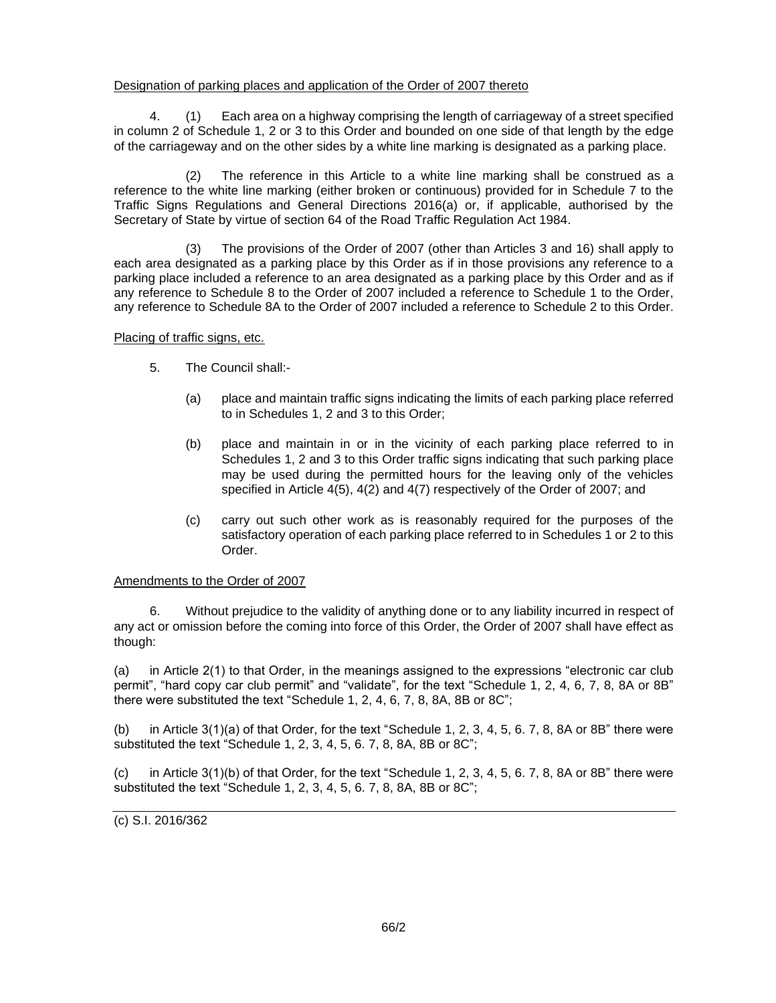## Designation of parking places and application of the Order of 2007 thereto

4. (1) Each area on a highway comprising the length of carriageway of a street specified in column 2 of Schedule 1, 2 or 3 to this Order and bounded on one side of that length by the edge of the carriageway and on the other sides by a white line marking is designated as a parking place.

(2) The reference in this Article to a white line marking shall be construed as a reference to the white line marking (either broken or continuous) provided for in Schedule 7 to the Traffic Signs Regulations and General Directions 2016(a) or, if applicable, authorised by the Secretary of State by virtue of section 64 of the Road Traffic Regulation Act 1984.

(3) The provisions of the Order of 2007 (other than Articles 3 and 16) shall apply to each area designated as a parking place by this Order as if in those provisions any reference to a parking place included a reference to an area designated as a parking place by this Order and as if any reference to Schedule 8 to the Order of 2007 included a reference to Schedule 1 to the Order, any reference to Schedule 8A to the Order of 2007 included a reference to Schedule 2 to this Order.

Placing of traffic signs, etc.

- 5. The Council shall:-
	- (a) place and maintain traffic signs indicating the limits of each parking place referred to in Schedules 1, 2 and 3 to this Order;
	- (b) place and maintain in or in the vicinity of each parking place referred to in Schedules 1, 2 and 3 to this Order traffic signs indicating that such parking place may be used during the permitted hours for the leaving only of the vehicles specified in Article 4(5), 4(2) and 4(7) respectively of the Order of 2007; and
	- (c) carry out such other work as is reasonably required for the purposes of the satisfactory operation of each parking place referred to in Schedules 1 or 2 to this Order.

Amendments to the Order of 2007

6. Without prejudice to the validity of anything done or to any liability incurred in respect of any act or omission before the coming into force of this Order, the Order of 2007 shall have effect as though:

(a) in Article 2(1) to that Order, in the meanings assigned to the expressions "electronic car club permit", "hard copy car club permit" and "validate", for the text "Schedule 1, 2, 4, 6, 7, 8, 8A or 8B" there were substituted the text "Schedule 1, 2, 4, 6, 7, 8, 8A, 8B or 8C";

(b) in Article 3(1)(a) of that Order, for the text "Schedule 1, 2, 3, 4, 5, 6. 7, 8, 8A or 8B" there were substituted the text "Schedule 1, 2, 3, 4, 5, 6. 7, 8, 8A, 8B or 8C";

 $(c)$  in Article 3(1)(b) of that Order, for the text "Schedule 1, 2, 3, 4, 5, 6. 7, 8, 8A or 8B" there were substituted the text "Schedule 1, 2, 3, 4, 5, 6. 7, 8, 8A, 8B or 8C";

(c) S.I. 2016/362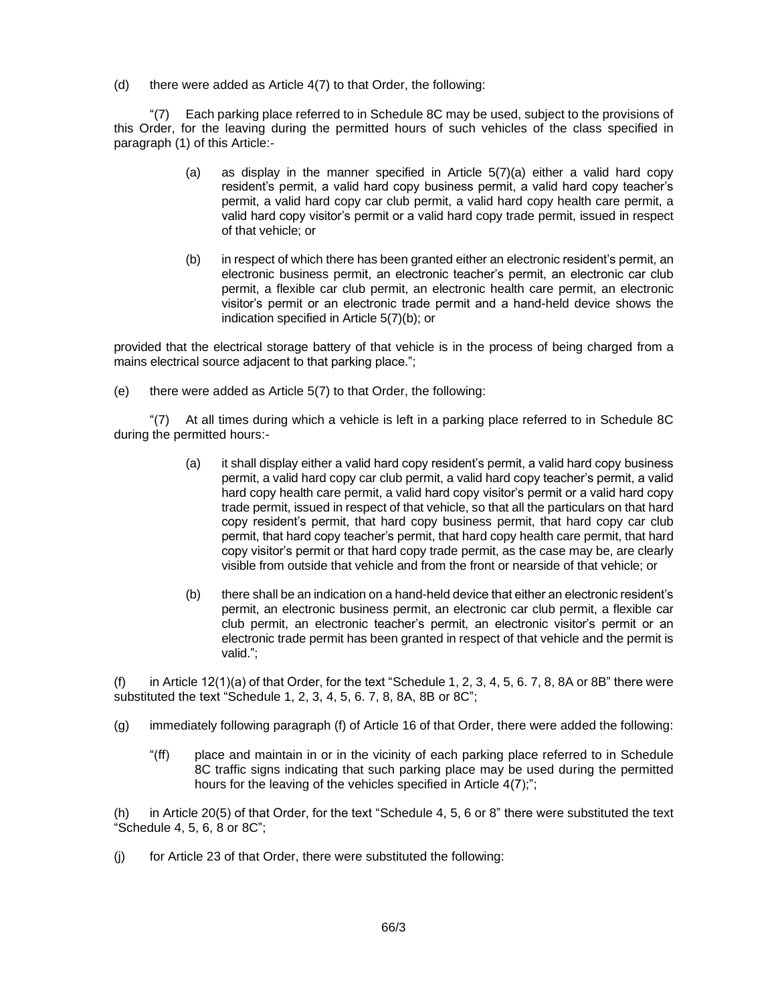(d) there were added as Article 4(7) to that Order, the following:

"(7) Each parking place referred to in Schedule 8C may be used, subject to the provisions of this Order, for the leaving during the permitted hours of such vehicles of the class specified in paragraph (1) of this Article:-

- (a) as display in the manner specified in Article  $5(7)(a)$  either a valid hard copy resident's permit, a valid hard copy business permit, a valid hard copy teacher's permit, a valid hard copy car club permit, a valid hard copy health care permit, a valid hard copy visitor's permit or a valid hard copy trade permit, issued in respect of that vehicle; or
- (b) in respect of which there has been granted either an electronic resident's permit, an electronic business permit, an electronic teacher's permit, an electronic car club permit, a flexible car club permit, an electronic health care permit, an electronic visitor's permit or an electronic trade permit and a hand-held device shows the indication specified in Article 5(7)(b); or

provided that the electrical storage battery of that vehicle is in the process of being charged from a mains electrical source adjacent to that parking place.";

(e) there were added as Article 5(7) to that Order, the following:

"(7) At all times during which a vehicle is left in a parking place referred to in Schedule 8C during the permitted hours:-

- (a) it shall display either a valid hard copy resident's permit, a valid hard copy business permit, a valid hard copy car club permit, a valid hard copy teacher's permit, a valid hard copy health care permit, a valid hard copy visitor's permit or a valid hard copy trade permit, issued in respect of that vehicle, so that all the particulars on that hard copy resident's permit, that hard copy business permit, that hard copy car club permit, that hard copy teacher's permit, that hard copy health care permit, that hard copy visitor's permit or that hard copy trade permit, as the case may be, are clearly visible from outside that vehicle and from the front or nearside of that vehicle; or
- (b) there shall be an indication on a hand-held device that either an electronic resident's permit, an electronic business permit, an electronic car club permit, a flexible car club permit, an electronic teacher's permit, an electronic visitor's permit or an electronic trade permit has been granted in respect of that vehicle and the permit is valid.";

(f) in Article 12(1)(a) of that Order, for the text "Schedule 1, 2, 3, 4, 5, 6. 7, 8, 8A or 8B" there were substituted the text "Schedule 1, 2, 3, 4, 5, 6. 7, 8, 8A, 8B or 8C";

- (g) immediately following paragraph (f) of Article 16 of that Order, there were added the following:
	- "(ff) place and maintain in or in the vicinity of each parking place referred to in Schedule 8C traffic signs indicating that such parking place may be used during the permitted hours for the leaving of the vehicles specified in Article 4(7);";

(h) in Article 20(5) of that Order, for the text "Schedule 4, 5, 6 or 8" there were substituted the text "Schedule 4, 5, 6, 8 or 8C";

(j) for Article 23 of that Order, there were substituted the following: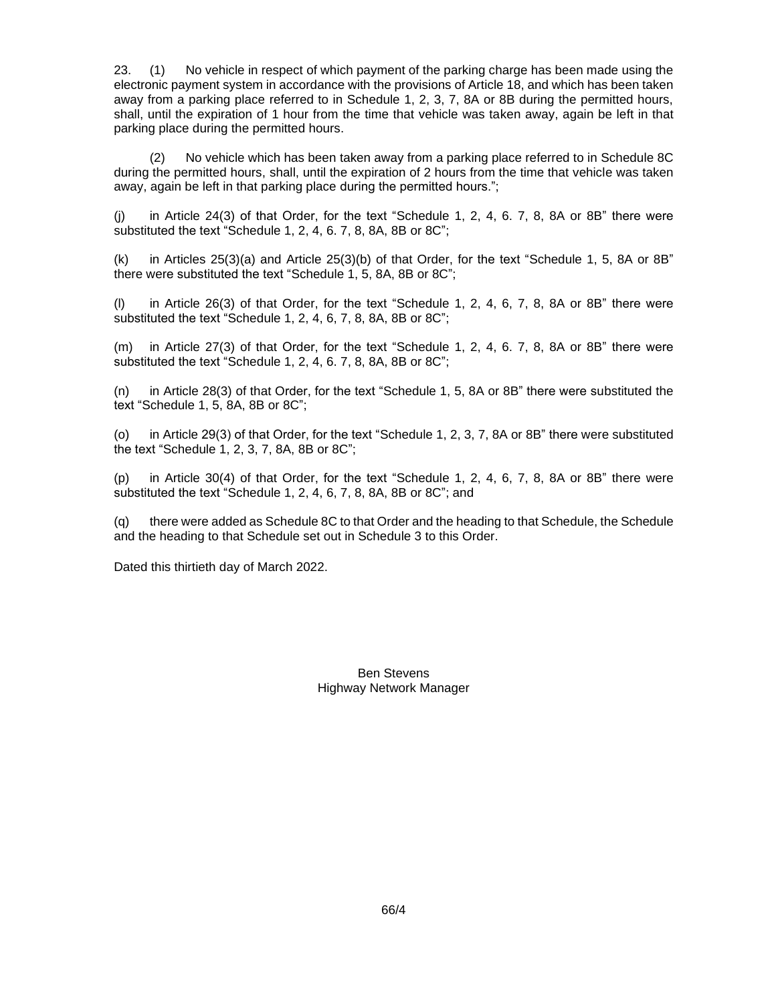23. (1) No vehicle in respect of which payment of the parking charge has been made using the electronic payment system in accordance with the provisions of Article 18, and which has been taken away from a parking place referred to in Schedule 1, 2, 3, 7, 8A or 8B during the permitted hours, shall, until the expiration of 1 hour from the time that vehicle was taken away, again be left in that parking place during the permitted hours.

(2) No vehicle which has been taken away from a parking place referred to in Schedule 8C during the permitted hours, shall, until the expiration of 2 hours from the time that vehicle was taken away, again be left in that parking place during the permitted hours.";

(j) in Article 24(3) of that Order, for the text "Schedule 1, 2, 4, 6. 7, 8, 8A or 8B" there were substituted the text "Schedule 1, 2, 4, 6. 7, 8, 8A, 8B or 8C";

(k) in Articles 25(3)(a) and Article 25(3)(b) of that Order, for the text "Schedule 1, 5, 8A or 8B" there were substituted the text "Schedule 1, 5, 8A, 8B or 8C";

(l) in Article 26(3) of that Order, for the text "Schedule 1, 2, 4, 6, 7, 8, 8A or 8B" there were substituted the text "Schedule 1, 2, 4, 6, 7, 8, 8A, 8B or 8C";

(m) in Article 27(3) of that Order, for the text "Schedule 1, 2, 4, 6. 7, 8, 8A or 8B" there were substituted the text "Schedule 1, 2, 4, 6. 7, 8, 8A, 8B or 8C";

(n) in Article 28(3) of that Order, for the text "Schedule 1, 5, 8A or 8B" there were substituted the text "Schedule 1, 5, 8A, 8B or 8C";

(o) in Article 29(3) of that Order, for the text "Schedule 1, 2, 3, 7, 8A or 8B" there were substituted the text "Schedule 1, 2, 3, 7, 8A, 8B or 8C";

(p) in Article 30(4) of that Order, for the text "Schedule 1, 2, 4, 6, 7, 8, 8A or 8B" there were substituted the text "Schedule 1, 2, 4, 6, 7, 8, 8A, 8B or 8C"; and

(q) there were added as Schedule 8C to that Order and the heading to that Schedule, the Schedule and the heading to that Schedule set out in Schedule 3 to this Order.

Dated this thirtieth day of March 2022.

Ben Stevens Highway Network Manager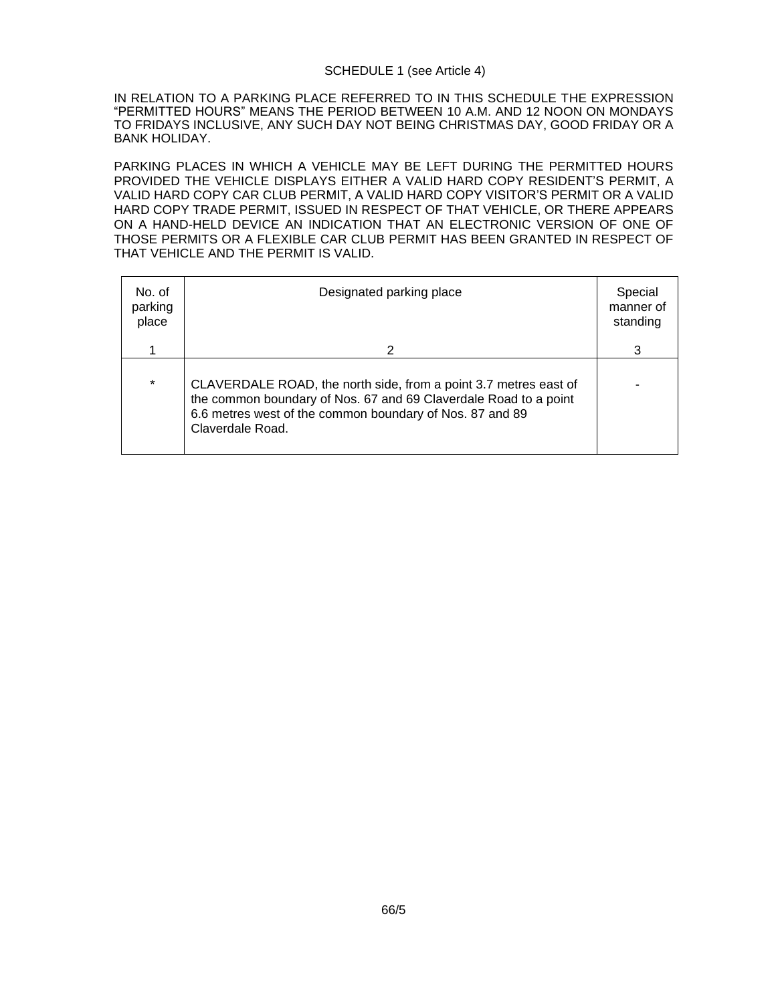### SCHEDULE 1 (see Article 4)

IN RELATION TO A PARKING PLACE REFERRED TO IN THIS SCHEDULE THE EXPRESSION "PERMITTED HOURS" MEANS THE PERIOD BETWEEN 10 A.M. AND 12 NOON ON MONDAYS TO FRIDAYS INCLUSIVE, ANY SUCH DAY NOT BEING CHRISTMAS DAY, GOOD FRIDAY OR A BANK HOLIDAY.

PARKING PLACES IN WHICH A VEHICLE MAY BE LEFT DURING THE PERMITTED HOURS PROVIDED THE VEHICLE DISPLAYS EITHER A VALID HARD COPY RESIDENT'S PERMIT, A VALID HARD COPY CAR CLUB PERMIT, A VALID HARD COPY VISITOR'S PERMIT OR A VALID HARD COPY TRADE PERMIT, ISSUED IN RESPECT OF THAT VEHICLE, OR THERE APPEARS ON A HAND-HELD DEVICE AN INDICATION THAT AN ELECTRONIC VERSION OF ONE OF THOSE PERMITS OR A FLEXIBLE CAR CLUB PERMIT HAS BEEN GRANTED IN RESPECT OF THAT VEHICLE AND THE PERMIT IS VALID.

| No. of<br>parking<br>place | Designated parking place                                                                                                                                                                                             | Special<br>manner of<br>standing |
|----------------------------|----------------------------------------------------------------------------------------------------------------------------------------------------------------------------------------------------------------------|----------------------------------|
|                            | 2                                                                                                                                                                                                                    | 3                                |
| $\star$                    | CLAVERDALE ROAD, the north side, from a point 3.7 metres east of<br>the common boundary of Nos. 67 and 69 Claverdale Road to a point<br>6.6 metres west of the common boundary of Nos. 87 and 89<br>Claverdale Road. |                                  |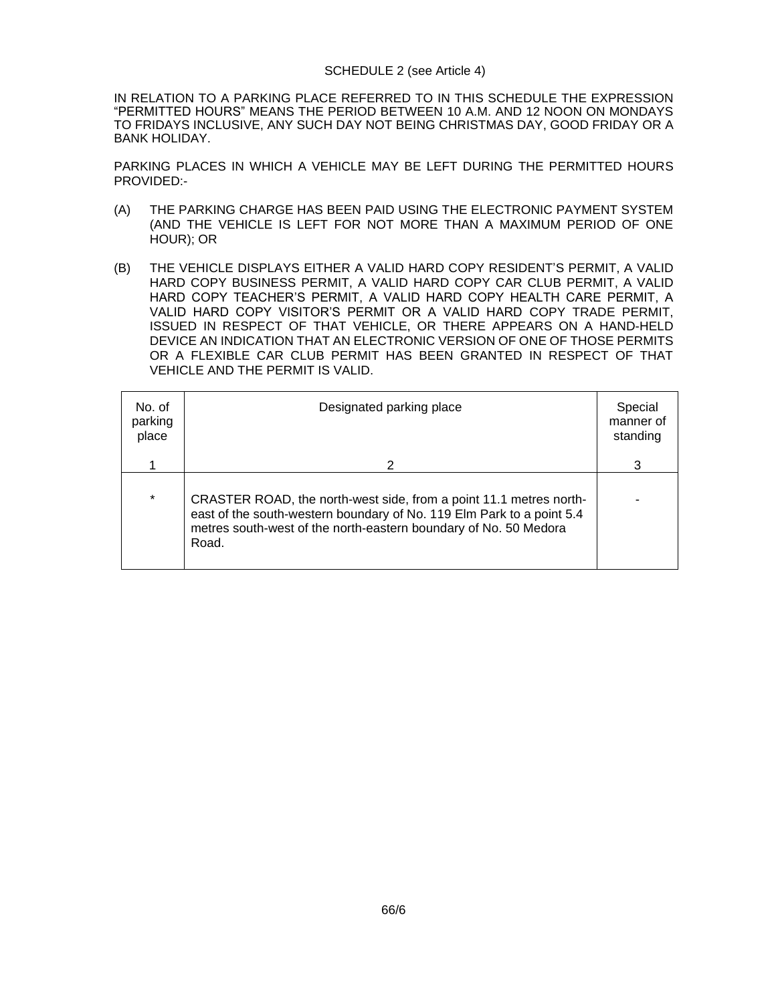#### SCHEDULE 2 (see Article 4)

IN RELATION TO A PARKING PLACE REFERRED TO IN THIS SCHEDULE THE EXPRESSION "PERMITTED HOURS" MEANS THE PERIOD BETWEEN 10 A.M. AND 12 NOON ON MONDAYS TO FRIDAYS INCLUSIVE, ANY SUCH DAY NOT BEING CHRISTMAS DAY, GOOD FRIDAY OR A BANK HOLIDAY.

PARKING PLACES IN WHICH A VEHICLE MAY BE LEFT DURING THE PERMITTED HOURS PROVIDED:-

- (A) THE PARKING CHARGE HAS BEEN PAID USING THE ELECTRONIC PAYMENT SYSTEM (AND THE VEHICLE IS LEFT FOR NOT MORE THAN A MAXIMUM PERIOD OF ONE HOUR); OR
- (B) THE VEHICLE DISPLAYS EITHER A VALID HARD COPY RESIDENT'S PERMIT, A VALID HARD COPY BUSINESS PERMIT, A VALID HARD COPY CAR CLUB PERMIT, A VALID HARD COPY TEACHER'S PERMIT, A VALID HARD COPY HEALTH CARE PERMIT, A VALID HARD COPY VISITOR'S PERMIT OR A VALID HARD COPY TRADE PERMIT, ISSUED IN RESPECT OF THAT VEHICLE, OR THERE APPEARS ON A HAND-HELD DEVICE AN INDICATION THAT AN ELECTRONIC VERSION OF ONE OF THOSE PERMITS OR A FLEXIBLE CAR CLUB PERMIT HAS BEEN GRANTED IN RESPECT OF THAT VEHICLE AND THE PERMIT IS VALID.

| No. of<br>parking<br>place | Designated parking place                                                                                                                                                                                                 | Special<br>manner of<br>standing |
|----------------------------|--------------------------------------------------------------------------------------------------------------------------------------------------------------------------------------------------------------------------|----------------------------------|
|                            | 2                                                                                                                                                                                                                        | 3                                |
| $\star$                    | CRASTER ROAD, the north-west side, from a point 11.1 metres north-<br>east of the south-western boundary of No. 119 Elm Park to a point 5.4<br>metres south-west of the north-eastern boundary of No. 50 Medora<br>Road. |                                  |